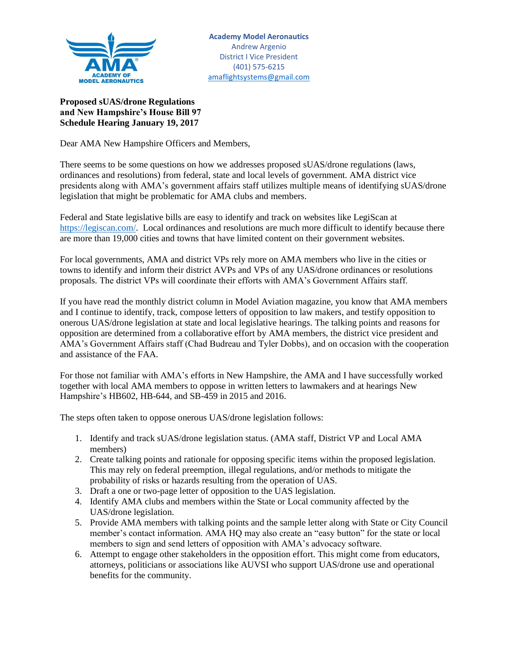

## **Proposed sUAS/drone Regulations and New Hampshire's House Bill 97 Schedule Hearing January 19, 2017**

Dear AMA New Hampshire Officers and Members,

There seems to be some questions on how we addresses proposed sUAS/drone regulations (laws, ordinances and resolutions) from federal, state and local levels of government. AMA district vice presidents along with AMA's government affairs staff utilizes multiple means of identifying sUAS/drone legislation that might be problematic for AMA clubs and members.

Federal and State legislative bills are easy to identify and track on websites like LegiScan at [https://legiscan.com/.](https://legiscan.com/) Local ordinances and resolutions are much more difficult to identify because there are more than 19,000 cities and towns that have limited content on their government websites.

For local governments, AMA and district VPs rely more on AMA members who live in the cities or towns to identify and inform their district AVPs and VPs of any UAS/drone ordinances or resolutions proposals. The district VPs will coordinate their efforts with AMA's Government Affairs staff.

If you have read the monthly district column in Model Aviation magazine, you know that AMA members and I continue to identify, track, compose letters of opposition to law makers, and testify opposition to onerous UAS/drone legislation at state and local legislative hearings. The talking points and reasons for opposition are determined from a collaborative effort by AMA members, the district vice president and AMA's Government Affairs staff (Chad Budreau and Tyler Dobbs), and on occasion with the cooperation and assistance of the FAA.

For those not familiar with AMA's efforts in New Hampshire, the AMA and I have successfully worked together with local AMA members to oppose in written letters to lawmakers and at hearings New Hampshire's HB602, HB-644, and SB-459 in 2015 and 2016.

The steps often taken to oppose onerous UAS/drone legislation follows:

- 1. Identify and track sUAS/drone legislation status. (AMA staff, District VP and Local AMA members)
- 2. Create talking points and rationale for opposing specific items within the proposed legislation. This may rely on federal preemption, illegal regulations, and/or methods to mitigate the probability of risks or hazards resulting from the operation of UAS.
- 3. Draft a one or two-page letter of opposition to the UAS legislation.
- 4. Identify AMA clubs and members within the State or Local community affected by the UAS/drone legislation.
- 5. Provide AMA members with talking points and the sample letter along with State or City Council member's contact information. AMA HQ may also create an "easy button" for the state or local members to sign and send letters of opposition with AMA's advocacy software.
- 6. Attempt to engage other stakeholders in the opposition effort. This might come from educators, attorneys, politicians or associations like AUVSI who support UAS/drone use and operational benefits for the community.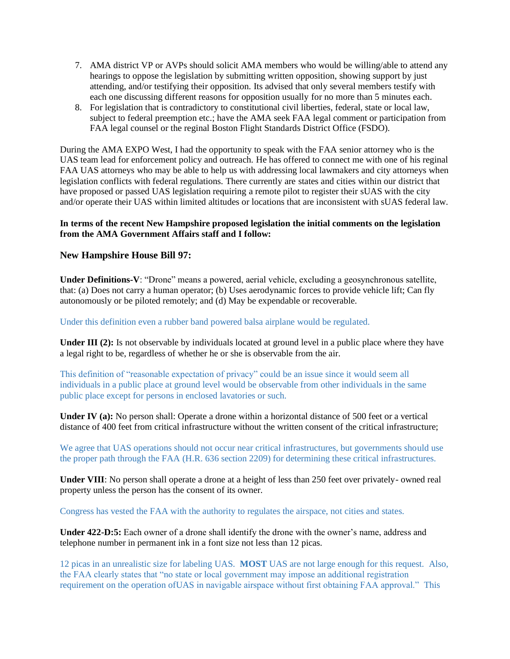- 7. AMA district VP or AVPs should solicit AMA members who would be willing/able to attend any hearings to oppose the legislation by submitting written opposition, showing support by just attending, and/or testifying their opposition. Its advised that only several members testify with each one discussing different reasons for opposition usually for no more than 5 minutes each.
- 8. For legislation that is contradictory to constitutional civil liberties, federal, state or local law, subject to federal preemption etc.; have the AMA seek FAA legal comment or participation from FAA legal counsel or the reginal Boston Flight Standards District Office (FSDO).

During the AMA EXPO West, I had the opportunity to speak with the FAA senior attorney who is the UAS team lead for enforcement policy and outreach. He has offered to connect me with one of his reginal FAA UAS attorneys who may be able to help us with addressing local lawmakers and city attorneys when legislation conflicts with federal regulations. There currently are states and cities within our district that have proposed or passed UAS legislation requiring a remote pilot to register their sUAS with the city and/or operate their UAS within limited altitudes or locations that are inconsistent with sUAS federal law.

## **In terms of the recent New Hampshire proposed legislation the initial comments on the legislation from the AMA Government Affairs staff and I follow:**

## **New Hampshire House Bill 97:**

**Under Definitions-V**: "Drone" means a powered, aerial vehicle, excluding a geosynchronous satellite, that: (a) Does not carry a human operator; (b) Uses aerodynamic forces to provide vehicle lift; Can fly autonomously or be piloted remotely; and (d) May be expendable or recoverable.

Under this definition even a rubber band powered balsa airplane would be regulated.

**Under III (2):** Is not observable by individuals located at ground level in a public place where they have a legal right to be, regardless of whether he or she is observable from the air.

This definition of "reasonable expectation of privacy" could be an issue since it would seem all individuals in a public place at ground level would be observable from other individuals in the same public place except for persons in enclosed lavatories or such.

**Under IV (a):** No person shall: Operate a drone within a horizontal distance of 500 feet or a vertical distance of 400 feet from critical infrastructure without the written consent of the critical infrastructure;

We agree that UAS operations should not occur near critical infrastructures, but governments should use the proper path through the FAA (H.R. 636 section 2209) for determining these critical infrastructures.

**Under VIII**: No person shall operate a drone at a height of less than 250 feet over privately- owned real property unless the person has the consent of its owner.

Congress has vested the FAA with the authority to regulates the airspace, not cities and states.

**Under 422-D:5:** Each owner of a drone shall identify the drone with the owner's name, address and telephone number in permanent ink in a font size not less than 12 picas.

12 picas in an unrealistic size for labeling UAS. **MOST** UAS are not large enough for this request. Also, the FAA clearly states that "no state or local government may impose an additional registration requirement on the operation ofUAS in navigable airspace without first obtaining FAA approval." This